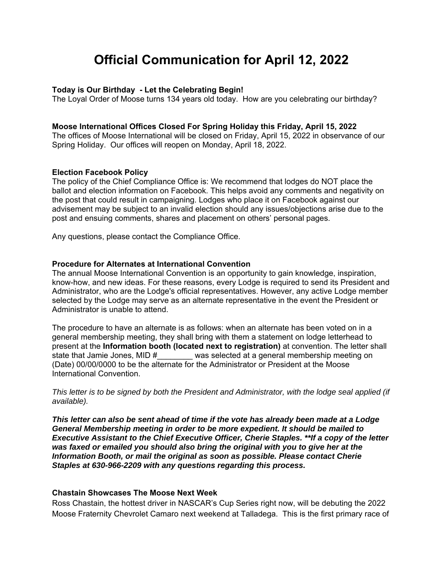# **Official Communication for April 12, 2022**

### **Today is Our Birthday - Let the Celebrating Begin!**

The Loyal Order of Moose turns 134 years old today. How are you celebrating our birthday?

#### **Moose International Offices Closed For Spring Holiday this Friday, April 15, 2022**

The offices of Moose International will be closed on Friday, April 15, 2022 in observance of our Spring Holiday. Our offices will reopen on Monday, April 18, 2022.

#### **Election Facebook Policy**

The policy of the Chief Compliance Office is: We recommend that lodges do NOT place the ballot and election information on Facebook. This helps avoid any comments and negativity on the post that could result in campaigning. Lodges who place it on Facebook against our advisement may be subject to an invalid election should any issues/objections arise due to the post and ensuing comments, shares and placement on others' personal pages.

Any questions, please contact the Compliance Office.

#### **Procedure for Alternates at International Convention**

The annual Moose International Convention is an opportunity to gain knowledge, inspiration, know-how, and new ideas. For these reasons, every Lodge is required to send its President and Administrator, who are the Lodge's official representatives. However, any active Lodge member selected by the Lodge may serve as an alternate representative in the event the President or Administrator is unable to attend.

The procedure to have an alternate is as follows: when an alternate has been voted on in a general membership meeting, they shall bring with them a statement on lodge letterhead to present at the **Information booth (located next to registration)** at convention. The letter shall was selected at a general membership meeting on (Date) 00/00/0000 to be the alternate for the Administrator or President at the Moose International Convention.

*This letter is to be signed by both the President and Administrator, with the lodge seal applied (if available).* 

*This letter can also be sent ahead of time if the vote has already been made at a Lodge General Membership meeting in order to be more expedient. It should be mailed to Executive Assistant to the Chief Executive Officer, Cherie Staples. \*\*If a copy of the letter was faxed or emailed you should also bring the original with you to give her at the Information Booth, or mail the original as soon as possible. Please contact Cherie Staples at 630-966-2209 with any questions regarding this process.*

#### **Chastain Showcases The Moose Next Week**

Ross Chastain, the hottest driver in NASCAR's Cup Series right now, will be debuting the 2022 Moose Fraternity Chevrolet Camaro next weekend at Talladega. This is the first primary race of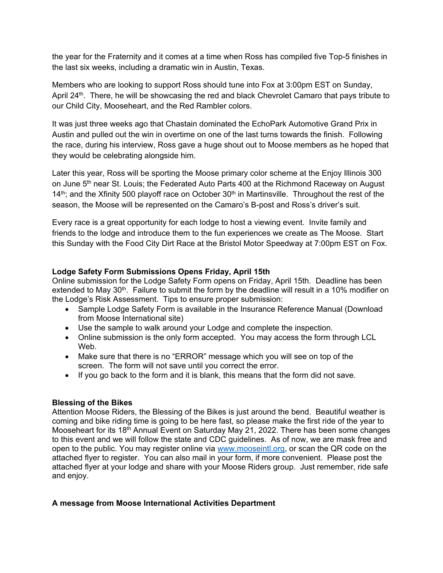the year for the Fraternity and it comes at a time when Ross has compiled five Top-5 finishes in the last six weeks, including a dramatic win in Austin, Texas.

Members who are looking to support Ross should tune into Fox at 3:00pm EST on Sunday, April 24<sup>th</sup>. There, he will be showcasing the red and black Chevrolet Camaro that pays tribute to our Child City, Mooseheart, and the Red Rambler colors.

It was just three weeks ago that Chastain dominated the EchoPark Automotive Grand Prix in Austin and pulled out the win in overtime on one of the last turns towards the finish. Following the race, during his interview, Ross gave a huge shout out to Moose members as he hoped that they would be celebrating alongside him.

Later this year, Ross will be sporting the Moose primary color scheme at the Enjoy Illinois 300 on June 5<sup>th</sup> near St. Louis; the Federated Auto Parts 400 at the Richmond Raceway on August  $14<sup>th</sup>$ ; and the Xfinity 500 playoff race on October 30<sup>th</sup> in Martinsville. Throughout the rest of the season, the Moose will be represented on the Camaro's B-post and Ross's driver's suit.

Every race is a great opportunity for each lodge to host a viewing event. Invite family and friends to the lodge and introduce them to the fun experiences we create as The Moose. Start this Sunday with the Food City Dirt Race at the Bristol Motor Speedway at 7:00pm EST on Fox.

## **Lodge Safety Form Submissions Opens Friday, April 15th**

Online submission for the Lodge Safety Form opens on Friday, April 15th. Deadline has been extended to May 30<sup>th</sup>. Failure to submit the form by the deadline will result in a 10% modifier on the Lodge's Risk Assessment. Tips to ensure proper submission:

- Sample Lodge Safety Form is available in the Insurance Reference Manual (Download from Moose International site)
- Use the sample to walk around your Lodge and complete the inspection.
- Online submission is the only form accepted. You may access the form through LCL Web.
- Make sure that there is no "ERROR" message which you will see on top of the screen. The form will not save until you correct the error.
- If you go back to the form and it is blank, this means that the form did not save.

## **Blessing of the Bikes**

Attention Moose Riders, the Blessing of the Bikes is just around the bend. Beautiful weather is coming and bike riding time is going to be here fast, so please make the first ride of the year to Mooseheart for its 18<sup>th</sup> Annual Event on Saturday May 21, 2022. There has been some changes to this event and we will follow the state and CDC guidelines. As of now, we are mask free and open to the public. You may register online via www.mooseintl.org, or scan the QR code on the attached flyer to register. You can also mail in your form, if more convenient. Please post the attached flyer at your lodge and share with your Moose Riders group. Just remember, ride safe and enjoy.

## **A message from Moose International Activities Department**